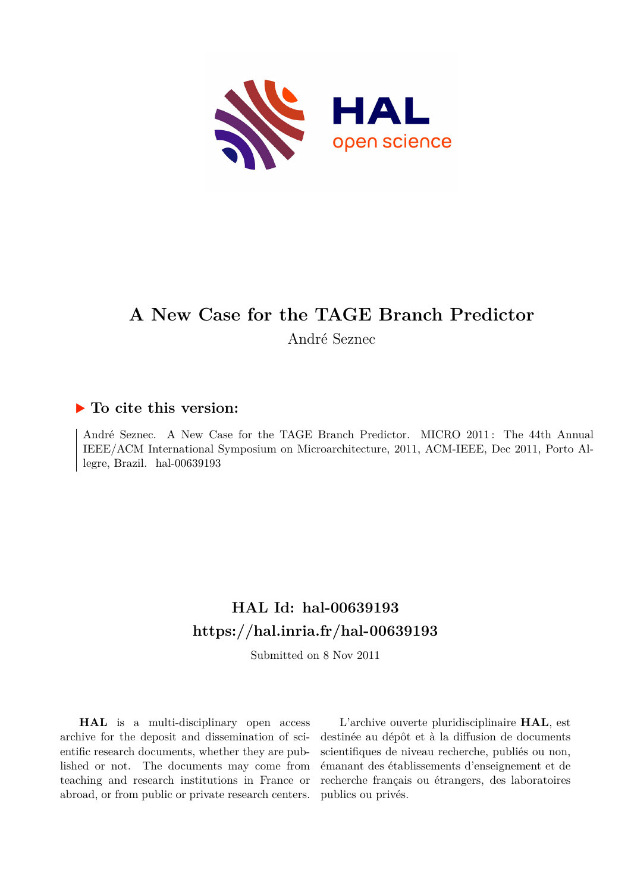

# **A New Case for the TAGE Branch Predictor**

André Seznec

# **To cite this version:**

André Seznec. A New Case for the TAGE Branch Predictor. MICRO 2011: The 44th Annual IEEE/ACM International Symposium on Microarchitecture, 2011, ACM-IEEE, Dec 2011, Porto Allegre, Brazil. hal- $00639193$ 

# **HAL Id: hal-00639193 <https://hal.inria.fr/hal-00639193>**

Submitted on 8 Nov 2011

**HAL** is a multi-disciplinary open access archive for the deposit and dissemination of scientific research documents, whether they are published or not. The documents may come from teaching and research institutions in France or abroad, or from public or private research centers.

L'archive ouverte pluridisciplinaire **HAL**, est destinée au dépôt et à la diffusion de documents scientifiques de niveau recherche, publiés ou non, émanant des établissements d'enseignement et de recherche français ou étrangers, des laboratoires publics ou privés.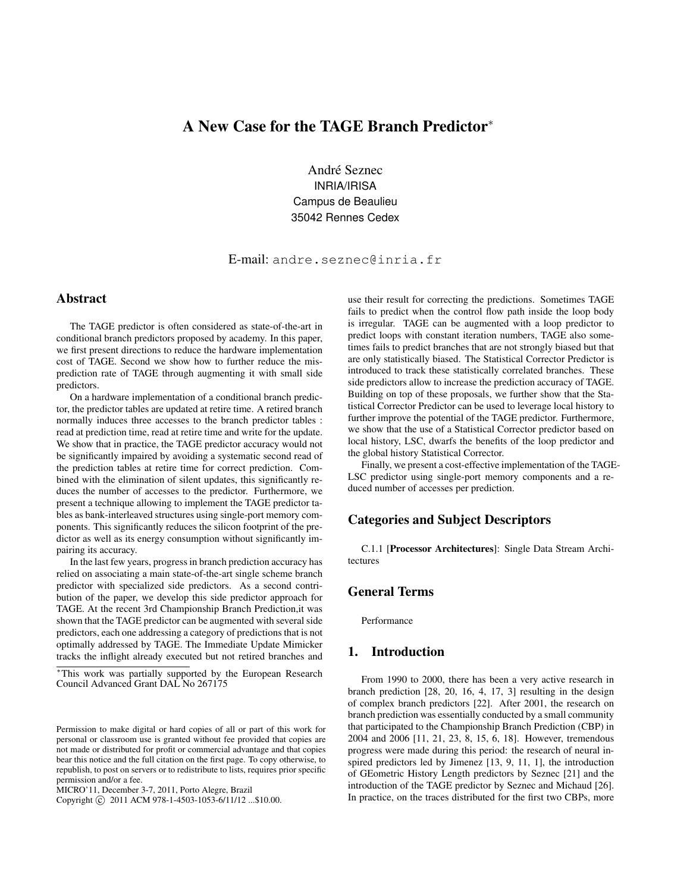# A New Case for the TAGE Branch Predictor<sup>∗</sup>

André Seznec INRIA/IRISA Campus de Beaulieu 35042 Rennes Cedex

E-mail: andre.seznec@inria.fr

# Abstract

The TAGE predictor is often considered as state-of-the-art in conditional branch predictors proposed by academy. In this paper, we first present directions to reduce the hardware implementation cost of TAGE. Second we show how to further reduce the misprediction rate of TAGE through augmenting it with small side predictors.

On a hardware implementation of a conditional branch predictor, the predictor tables are updated at retire time. A retired branch normally induces three accesses to the branch predictor tables : read at prediction time, read at retire time and write for the update. We show that in practice, the TAGE predictor accuracy would not be significantly impaired by avoiding a systematic second read of the prediction tables at retire time for correct prediction. Combined with the elimination of silent updates, this significantly reduces the number of accesses to the predictor. Furthermore, we present a technique allowing to implement the TAGE predictor tables as bank-interleaved structures using single-port memory components. This significantly reduces the silicon footprint of the predictor as well as its energy consumption without significantly impairing its accuracy.

In the last few years, progress in branch prediction accuracy has relied on associating a main state-of-the-art single scheme branch predictor with specialized side predictors. As a second contribution of the paper, we develop this side predictor approach for TAGE. At the recent 3rd Championship Branch Prediction,it was shown that the TAGE predictor can be augmented with several side predictors, each one addressing a category of predictions that is not optimally addressed by TAGE. The Immediate Update Mimicker tracks the inflight already executed but not retired branches and

MICRO'11, December 3-7, 2011, Porto Alegre, Brazil

Copyright © 2011 ACM 978-1-4503-1053-6/11/12 ...\$10.00.

use their result for correcting the predictions. Sometimes TAGE fails to predict when the control flow path inside the loop body is irregular. TAGE can be augmented with a loop predictor to predict loops with constant iteration numbers, TAGE also sometimes fails to predict branches that are not strongly biased but that are only statistically biased. The Statistical Corrector Predictor is introduced to track these statistically correlated branches. These side predictors allow to increase the prediction accuracy of TAGE. Building on top of these proposals, we further show that the Statistical Corrector Predictor can be used to leverage local history to further improve the potential of the TAGE predictor. Furthermore, we show that the use of a Statistical Corrector predictor based on local history, LSC, dwarfs the benefits of the loop predictor and the global history Statistical Corrector.

Finally, we present a cost-effective implementation of the TAGE-LSC predictor using single-port memory components and a reduced number of accesses per prediction.

# Categories and Subject Descriptors

C.1.1 [Processor Architectures]: Single Data Stream Architectures

## General Terms

Performance

# 1. Introduction

From 1990 to 2000, there has been a very active research in branch prediction [28, 20, 16, 4, 17, 3] resulting in the design of complex branch predictors [22]. After 2001, the research on branch prediction was essentially conducted by a small community that participated to the Championship Branch Prediction (CBP) in 2004 and 2006 [11, 21, 23, 8, 15, 6, 18]. However, tremendous progress were made during this period: the research of neural inspired predictors led by Jimenez [13, 9, 11, 1], the introduction of GEometric History Length predictors by Seznec [21] and the introduction of the TAGE predictor by Seznec and Michaud [26]. In practice, on the traces distributed for the first two CBPs, more

<sup>∗</sup>This work was partially supported by the European Research Council Advanced Grant DAL No 267175

Permission to make digital or hard copies of all or part of this work for personal or classroom use is granted without fee provided that copies are not made or distributed for profit or commercial advantage and that copies bear this notice and the full citation on the first page. To copy otherwise, to republish, to post on servers or to redistribute to lists, requires prior specific permission and/or a fee.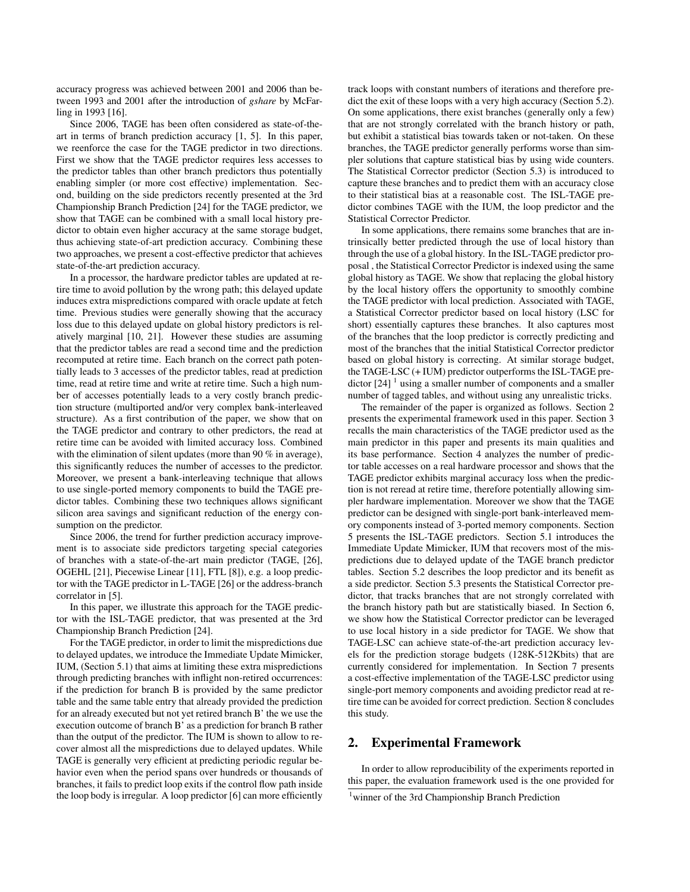accuracy progress was achieved between 2001 and 2006 than between 1993 and 2001 after the introduction of *gshare* by McFarling in 1993 [16].

Since 2006, TAGE has been often considered as state-of-theart in terms of branch prediction accuracy [1, 5]. In this paper, we reenforce the case for the TAGE predictor in two directions. First we show that the TAGE predictor requires less accesses to the predictor tables than other branch predictors thus potentially enabling simpler (or more cost effective) implementation. Second, building on the side predictors recently presented at the 3rd Championship Branch Prediction [24] for the TAGE predictor, we show that TAGE can be combined with a small local history predictor to obtain even higher accuracy at the same storage budget, thus achieving state-of-art prediction accuracy. Combining these two approaches, we present a cost-effective predictor that achieves state-of-the-art prediction accuracy.

In a processor, the hardware predictor tables are updated at retire time to avoid pollution by the wrong path; this delayed update induces extra mispredictions compared with oracle update at fetch time. Previous studies were generally showing that the accuracy loss due to this delayed update on global history predictors is relatively marginal [10, 21]. However these studies are assuming that the predictor tables are read a second time and the prediction recomputed at retire time. Each branch on the correct path potentially leads to 3 accesses of the predictor tables, read at prediction time, read at retire time and write at retire time. Such a high number of accesses potentially leads to a very costly branch prediction structure (multiported and/or very complex bank-interleaved structure). As a first contribution of the paper, we show that on the TAGE predictor and contrary to other predictors, the read at retire time can be avoided with limited accuracy loss. Combined with the elimination of silent updates (more than 90 % in average), this significantly reduces the number of accesses to the predictor. Moreover, we present a bank-interleaving technique that allows to use single-ported memory components to build the TAGE predictor tables. Combining these two techniques allows significant silicon area savings and significant reduction of the energy consumption on the predictor.

Since 2006, the trend for further prediction accuracy improvement is to associate side predictors targeting special categories of branches with a state-of-the-art main predictor (TAGE, [26], OGEHL [21], Piecewise Linear [11], FTL [8]), e.g. a loop predictor with the TAGE predictor in L-TAGE [26] or the address-branch correlator in [5].

In this paper, we illustrate this approach for the TAGE predictor with the ISL-TAGE predictor, that was presented at the 3rd Championship Branch Prediction [24].

For the TAGE predictor, in order to limit the mispredictions due to delayed updates, we introduce the Immediate Update Mimicker, IUM, (Section 5.1) that aims at limiting these extra mispredictions through predicting branches with inflight non-retired occurrences: if the prediction for branch B is provided by the same predictor table and the same table entry that already provided the prediction for an already executed but not yet retired branch B' the we use the execution outcome of branch B' as a prediction for branch B rather than the output of the predictor. The IUM is shown to allow to recover almost all the mispredictions due to delayed updates. While TAGE is generally very efficient at predicting periodic regular behavior even when the period spans over hundreds or thousands of branches, it fails to predict loop exits if the control flow path inside the loop body is irregular. A loop predictor [6] can more efficiently

track loops with constant numbers of iterations and therefore predict the exit of these loops with a very high accuracy (Section 5.2). On some applications, there exist branches (generally only a few) that are not strongly correlated with the branch history or path, but exhibit a statistical bias towards taken or not-taken. On these branches, the TAGE predictor generally performs worse than simpler solutions that capture statistical bias by using wide counters. The Statistical Corrector predictor (Section 5.3) is introduced to capture these branches and to predict them with an accuracy close to their statistical bias at a reasonable cost. The ISL-TAGE predictor combines TAGE with the IUM, the loop predictor and the Statistical Corrector Predictor.

In some applications, there remains some branches that are intrinsically better predicted through the use of local history than through the use of a global history. In the ISL-TAGE predictor proposal , the Statistical Corrector Predictor is indexed using the same global history as TAGE. We show that replacing the global history by the local history offers the opportunity to smoothly combine the TAGE predictor with local prediction. Associated with TAGE, a Statistical Corrector predictor based on local history (LSC for short) essentially captures these branches. It also captures most of the branches that the loop predictor is correctly predicting and most of the branches that the initial Statistical Corrector predictor based on global history is correcting. At similar storage budget, the TAGE-LSC (+ IUM) predictor outperforms the ISL-TAGE predictor  $[24]$ <sup>1</sup> using a smaller number of components and a smaller number of tagged tables, and without using any unrealistic tricks.

The remainder of the paper is organized as follows. Section 2 presents the experimental framework used in this paper. Section 3 recalls the main characteristics of the TAGE predictor used as the main predictor in this paper and presents its main qualities and its base performance. Section 4 analyzes the number of predictor table accesses on a real hardware processor and shows that the TAGE predictor exhibits marginal accuracy loss when the prediction is not reread at retire time, therefore potentially allowing simpler hardware implementation. Moreover we show that the TAGE predictor can be designed with single-port bank-interleaved memory components instead of 3-ported memory components. Section 5 presents the ISL-TAGE predictors. Section 5.1 introduces the Immediate Update Mimicker, IUM that recovers most of the mispredictions due to delayed update of the TAGE branch predictor tables. Section 5.2 describes the loop predictor and its benefit as a side predictor. Section 5.3 presents the Statistical Corrector predictor, that tracks branches that are not strongly correlated with the branch history path but are statistically biased. In Section 6, we show how the Statistical Corrector predictor can be leveraged to use local history in a side predictor for TAGE. We show that TAGE-LSC can achieve state-of-the-art prediction accuracy levels for the prediction storage budgets (128K-512Kbits) that are currently considered for implementation. In Section 7 presents a cost-effective implementation of the TAGE-LSC predictor using single-port memory components and avoiding predictor read at retire time can be avoided for correct prediction. Section 8 concludes this study.

## 2. Experimental Framework

In order to allow reproducibility of the experiments reported in this paper, the evaluation framework used is the one provided for

<sup>1</sup> winner of the 3rd Championship Branch Prediction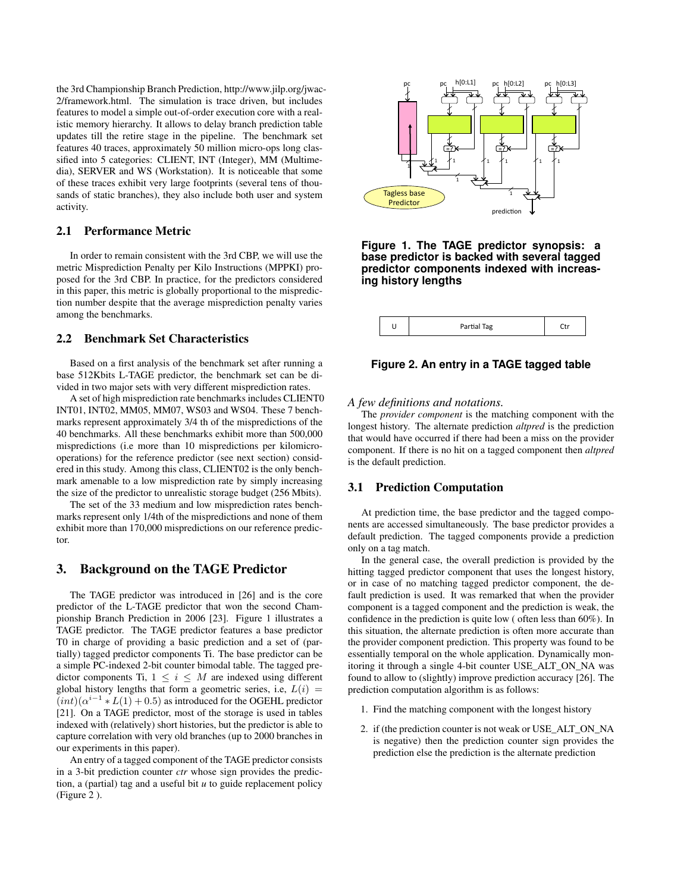the 3rd Championship Branch Prediction, http://www.jilp.org/jwac-2/framework.html. The simulation is trace driven, but includes features to model a simple out-of-order execution core with a realistic memory hierarchy. It allows to delay branch prediction table updates till the retire stage in the pipeline. The benchmark set features 40 traces, approximately 50 million micro-ops long classified into 5 categories: CLIENT, INT (Integer), MM (Multimedia), SERVER and WS (Workstation). It is noticeable that some of these traces exhibit very large footprints (several tens of thousands of static branches), they also include both user and system activity.

#### 2.1 Performance Metric

In order to remain consistent with the 3rd CBP, we will use the metric Misprediction Penalty per Kilo Instructions (MPPKI) proposed for the 3rd CBP. In practice, for the predictors considered in this paper, this metric is globally proportional to the misprediction number despite that the average misprediction penalty varies among the benchmarks.

#### 2.2 Benchmark Set Characteristics

Based on a first analysis of the benchmark set after running a base 512Kbits L-TAGE predictor, the benchmark set can be divided in two major sets with very different misprediction rates.

A set of high misprediction rate benchmarks includes CLIENT0 INT01, INT02, MM05, MM07, WS03 and WS04. These 7 benchmarks represent approximately 3/4 th of the mispredictions of the 40 benchmarks. All these benchmarks exhibit more than 500,000 mispredictions (i.e more than 10 mispredictions per kilomicrooperations) for the reference predictor (see next section) considered in this study. Among this class, CLIENT02 is the only benchmark amenable to a low misprediction rate by simply increasing the size of the predictor to unrealistic storage budget (256 Mbits).

The set of the 33 medium and low misprediction rates benchmarks represent only 1/4th of the mispredictions and none of them exhibit more than 170,000 mispredictions on our reference predictor.

# 3. Background on the TAGE Predictor

The TAGE predictor was introduced in [26] and is the core predictor of the L-TAGE predictor that won the second Championship Branch Prediction in 2006 [23]. Figure 1 illustrates a TAGE predictor. The TAGE predictor features a base predictor T0 in charge of providing a basic prediction and a set of (partially) tagged predictor components Ti. The base predictor can be a simple PC-indexed 2-bit counter bimodal table. The tagged predictor components Ti,  $1 \leq i \leq M$  are indexed using different global history lengths that form a geometric series, i.e,  $L(i)$  =  $(int)(\alpha^{i-1} * L(1) + 0.5)$  as introduced for the OGEHL predictor [21]. On a TAGE predictor, most of the storage is used in tables indexed with (relatively) short histories, but the predictor is able to capture correlation with very old branches (up to 2000 branches in our experiments in this paper).

An entry of a tagged component of the TAGE predictor consists in a 3-bit prediction counter *ctr* whose sign provides the prediction, a (partial) tag and a useful bit *u* to guide replacement policy (Figure 2 ).



#### **Figure 1. The TAGE predictor synopsis: a base predictor is backed with several tagged predictor components indexed with increasing history lengths**

|  |  | Partial Tag |  |
|--|--|-------------|--|
|--|--|-------------|--|

#### **Figure 2. An entry in a TAGE tagged table**

#### *A few definitions and notations.*

The *provider component* is the matching component with the longest history. The alternate prediction *altpred* is the prediction that would have occurred if there had been a miss on the provider component. If there is no hit on a tagged component then *altpred* is the default prediction.

#### 3.1 Prediction Computation

At prediction time, the base predictor and the tagged components are accessed simultaneously. The base predictor provides a default prediction. The tagged components provide a prediction only on a tag match.

In the general case, the overall prediction is provided by the hitting tagged predictor component that uses the longest history, or in case of no matching tagged predictor component, the default prediction is used. It was remarked that when the provider component is a tagged component and the prediction is weak, the confidence in the prediction is quite low ( often less than 60%). In this situation, the alternate prediction is often more accurate than the provider component prediction. This property was found to be essentially temporal on the whole application. Dynamically monitoring it through a single 4-bit counter USE\_ALT\_ON\_NA was found to allow to (slightly) improve prediction accuracy [26]. The prediction computation algorithm is as follows:

- 1. Find the matching component with the longest history
- 2. if (the prediction counter is not weak or USE\_ALT\_ON\_NA is negative) then the prediction counter sign provides the prediction else the prediction is the alternate prediction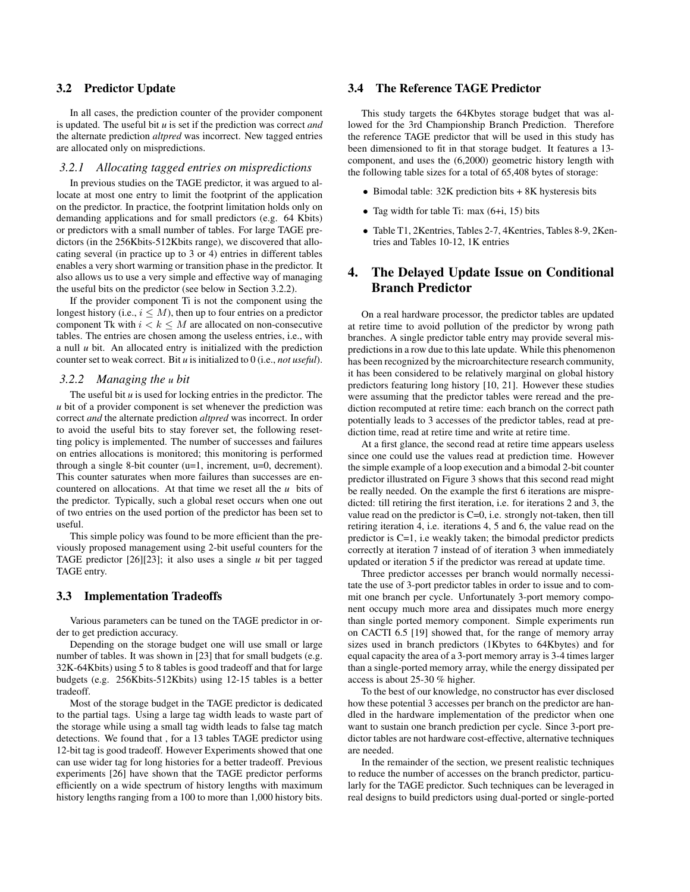#### 3.2 Predictor Update

In all cases, the prediction counter of the provider component is updated. The useful bit *u* is set if the prediction was correct *and* the alternate prediction *altpred* was incorrect. New tagged entries are allocated only on mispredictions.

#### *3.2.1 Allocating tagged entries on mispredictions*

In previous studies on the TAGE predictor, it was argued to allocate at most one entry to limit the footprint of the application on the predictor. In practice, the footprint limitation holds only on demanding applications and for small predictors (e.g. 64 Kbits) or predictors with a small number of tables. For large TAGE predictors (in the 256Kbits-512Kbits range), we discovered that allocating several (in practice up to 3 or 4) entries in different tables enables a very short warming or transition phase in the predictor. It also allows us to use a very simple and effective way of managing the useful bits on the predictor (see below in Section 3.2.2).

If the provider component Ti is not the component using the longest history (i.e.,  $i \leq M$ ), then up to four entries on a predictor component Tk with  $i < k \le M$  are allocated on non-consecutive tables. The entries are chosen among the useless entries, i.e., with a null *u* bit. An allocated entry is initialized with the prediction counter set to weak correct. Bit *u* is initialized to 0 (i.e., *not useful*).

#### *3.2.2 Managing the u bit*

The useful bit *u* is used for locking entries in the predictor. The *u* bit of a provider component is set whenever the prediction was correct *and* the alternate prediction *altpred* was incorrect. In order to avoid the useful bits to stay forever set, the following resetting policy is implemented. The number of successes and failures on entries allocations is monitored; this monitoring is performed through a single 8-bit counter (u=1, increment, u=0, decrement). This counter saturates when more failures than successes are encountered on allocations. At that time we reset all the *u* bits of the predictor. Typically, such a global reset occurs when one out of two entries on the used portion of the predictor has been set to useful.

This simple policy was found to be more efficient than the previously proposed management using 2-bit useful counters for the TAGE predictor [26][23]; it also uses a single *u* bit per tagged TAGE entry.

#### 3.3 Implementation Tradeoffs

Various parameters can be tuned on the TAGE predictor in order to get prediction accuracy.

Depending on the storage budget one will use small or large number of tables. It was shown in [23] that for small budgets (e.g. 32K-64Kbits) using 5 to 8 tables is good tradeoff and that for large budgets (e.g. 256Kbits-512Kbits) using 12-15 tables is a better tradeoff.

Most of the storage budget in the TAGE predictor is dedicated to the partial tags. Using a large tag width leads to waste part of the storage while using a small tag width leads to false tag match detections. We found that , for a 13 tables TAGE predictor using 12-bit tag is good tradeoff. However Experiments showed that one can use wider tag for long histories for a better tradeoff. Previous experiments [26] have shown that the TAGE predictor performs efficiently on a wide spectrum of history lengths with maximum history lengths ranging from a 100 to more than 1,000 history bits.

#### 3.4 The Reference TAGE Predictor

This study targets the 64Kbytes storage budget that was allowed for the 3rd Championship Branch Prediction. Therefore the reference TAGE predictor that will be used in this study has been dimensioned to fit in that storage budget. It features a 13 component, and uses the (6,2000) geometric history length with the following table sizes for a total of 65,408 bytes of storage:

- Bimodal table: 32K prediction bits + 8K hysteresis bits
- Tag width for table Ti: max (6+i, 15) bits
- Table T1, 2Kentries, Tables 2-7, 4Kentries, Tables 8-9, 2Kentries and Tables 10-12, 1K entries

# 4. The Delayed Update Issue on Conditional Branch Predictor

On a real hardware processor, the predictor tables are updated at retire time to avoid pollution of the predictor by wrong path branches. A single predictor table entry may provide several mispredictions in a row due to this late update. While this phenomenon has been recognized by the microarchitecture research community, it has been considered to be relatively marginal on global history predictors featuring long history [10, 21]. However these studies were assuming that the predictor tables were reread and the prediction recomputed at retire time: each branch on the correct path potentially leads to 3 accesses of the predictor tables, read at prediction time, read at retire time and write at retire time.

At a first glance, the second read at retire time appears useless since one could use the values read at prediction time. However the simple example of a loop execution and a bimodal 2-bit counter predictor illustrated on Figure 3 shows that this second read might be really needed. On the example the first 6 iterations are mispredicted: till retiring the first iteration, i.e. for iterations 2 and 3, the value read on the predictor is C=0, i.e. strongly not-taken, then till retiring iteration 4, i.e. iterations 4, 5 and 6, the value read on the predictor is C=1, i.e weakly taken; the bimodal predictor predicts correctly at iteration 7 instead of of iteration 3 when immediately updated or iteration 5 if the predictor was reread at update time.

Three predictor accesses per branch would normally necessitate the use of 3-port predictor tables in order to issue and to commit one branch per cycle. Unfortunately 3-port memory component occupy much more area and dissipates much more energy than single ported memory component. Simple experiments run on CACTI 6.5 [19] showed that, for the range of memory array sizes used in branch predictors (1Kbytes to 64Kbytes) and for equal capacity the area of a 3-port memory array is 3-4 times larger than a single-ported memory array, while the energy dissipated per access is about 25-30 % higher.

To the best of our knowledge, no constructor has ever disclosed how these potential 3 accesses per branch on the predictor are handled in the hardware implementation of the predictor when one want to sustain one branch prediction per cycle. Since 3-port predictor tables are not hardware cost-effective, alternative techniques are needed.

In the remainder of the section, we present realistic techniques to reduce the number of accesses on the branch predictor, particularly for the TAGE predictor. Such techniques can be leveraged in real designs to build predictors using dual-ported or single-ported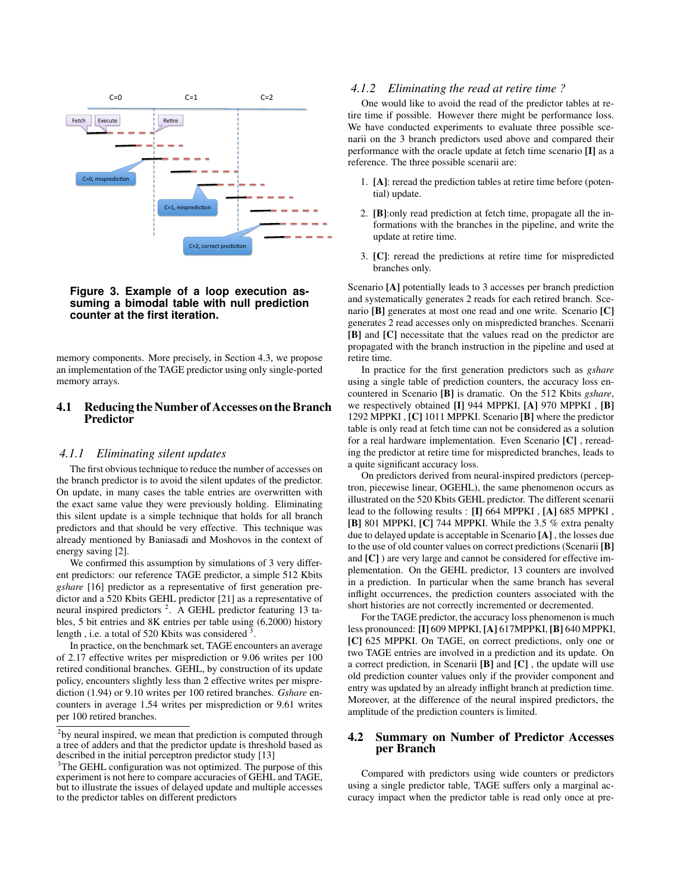

#### **Figure 3. Example of a loop execution assuming a bimodal table with null prediction counter at the first iteration.**

memory components. More precisely, in Section 4.3, we propose an implementation of the TAGE predictor using only single-ported memory arrays.

#### 4.1 Reducing the Number of Accesses on the Branch Predictor

#### *4.1.1 Eliminating silent updates*

The first obvious technique to reduce the number of accesses on the branch predictor is to avoid the silent updates of the predictor. On update, in many cases the table entries are overwritten with the exact same value they were previously holding. Eliminating this silent update is a simple technique that holds for all branch predictors and that should be very effective. This technique was already mentioned by Baniasadi and Moshovos in the context of energy saving [2].

We confirmed this assumption by simulations of 3 very different predictors: our reference TAGE predictor, a simple 512 Kbits *gshare* [16] predictor as a representative of first generation predictor and a 520 Kbits GEHL predictor [21] as a representative of neural inspired predictors<sup>2</sup>. A GEHL predictor featuring 13 tables, 5 bit entries and 8K entries per table using (6,2000) history length, i.e. a total of 520 Kbits was considered  $3$ .

In practice, on the benchmark set, TAGE encounters an average of 2.17 effective writes per misprediction or 9.06 writes per 100 retired conditional branches. GEHL, by construction of its update policy, encounters slightly less than 2 effective writes per misprediction (1.94) or 9.10 writes per 100 retired branches. *Gshare* encounters in average 1.54 writes per misprediction or 9.61 writes per 100 retired branches.

#### *4.1.2 Eliminating the read at retire time ?*

One would like to avoid the read of the predictor tables at retire time if possible. However there might be performance loss. We have conducted experiments to evaluate three possible scenarii on the 3 branch predictors used above and compared their performance with the oracle update at fetch time scenario [I] as a reference. The three possible scenarii are:

- 1. [A]: reread the prediction tables at retire time before (potential) update.
- 2. [B]:only read prediction at fetch time, propagate all the informations with the branches in the pipeline, and write the update at retire time.
- 3. [C]: reread the predictions at retire time for mispredicted branches only.

Scenario [A] potentially leads to 3 accesses per branch prediction and systematically generates 2 reads for each retired branch. Scenario [B] generates at most one read and one write. Scenario [C] generates 2 read accesses only on mispredicted branches. Scenarii [B] and [C] necessitate that the values read on the predictor are propagated with the branch instruction in the pipeline and used at retire time.

In practice for the first generation predictors such as *gshare* using a single table of prediction counters, the accuracy loss encountered in Scenario [B] is dramatic. On the 512 Kbits *gshare*, we respectively obtained [I] 944 MPPKI, [A] 970 MPPKI , [B] 1292 MPPKI , [C] 1011 MPPKI. Scenario [B] where the predictor table is only read at fetch time can not be considered as a solution for a real hardware implementation. Even Scenario [C] , rereading the predictor at retire time for mispredicted branches, leads to a quite significant accuracy loss.

On predictors derived from neural-inspired predictors (perceptron, piecewise linear, OGEHL), the same phenomenon occurs as illustrated on the 520 Kbits GEHL predictor. The different scenarii lead to the following results : [I] 664 MPPKI, [A] 685 MPPKI, [B] 801 MPPKI, [C] 744 MPPKI. While the 3.5 % extra penalty due to delayed update is acceptable in Scenario [A] , the losses due to the use of old counter values on correct predictions (Scenarii [B] and [C] ) are very large and cannot be considered for effective implementation. On the GEHL predictor, 13 counters are involved in a prediction. In particular when the same branch has several inflight occurrences, the prediction counters associated with the short histories are not correctly incremented or decremented.

For the TAGE predictor, the accuracy loss phenomenon is much less pronounced: [I] 609 MPPKI, [A] 617MPPKI, [B] 640 MPPKI, [C] 625 MPPKI. On TAGE, on correct predictions, only one or two TAGE entries are involved in a prediction and its update. On a correct prediction, in Scenarii [B] and [C] , the update will use old prediction counter values only if the provider component and entry was updated by an already inflight branch at prediction time. Moreover, at the difference of the neural inspired predictors, the amplitude of the prediction counters is limited.

#### 4.2 Summary on Number of Predictor Accesses per Branch

Compared with predictors using wide counters or predictors using a single predictor table, TAGE suffers only a marginal accuracy impact when the predictor table is read only once at pre-

 $2$ by neural inspired, we mean that prediction is computed through a tree of adders and that the predictor update is threshold based as described in the initial perceptron predictor study [13]

<sup>&</sup>lt;sup>3</sup>The GEHL configuration was not optimized. The purpose of this experiment is not here to compare accuracies of GEHL and TAGE, but to illustrate the issues of delayed update and multiple accesses to the predictor tables on different predictors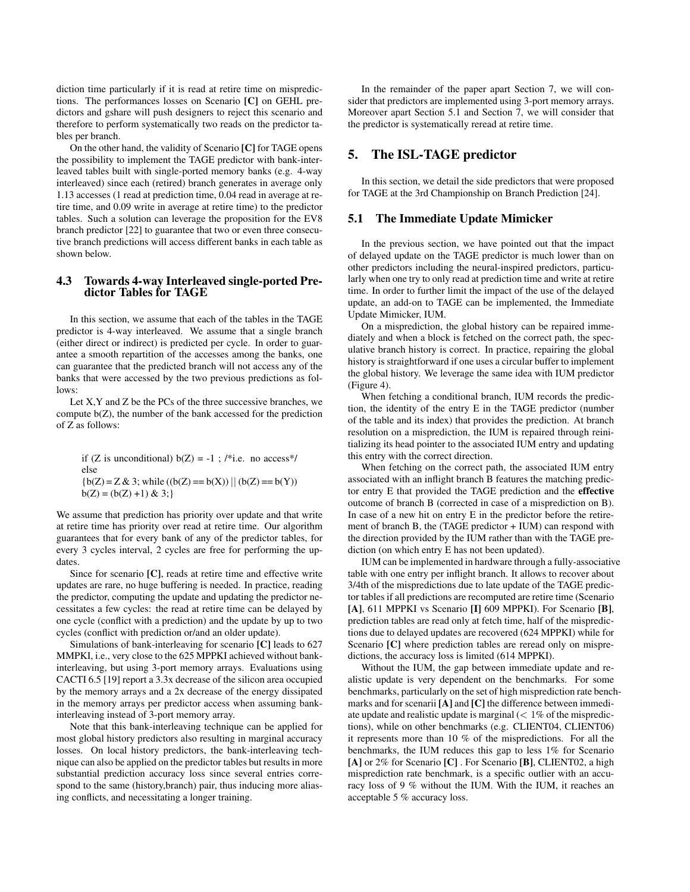diction time particularly if it is read at retire time on mispredictions. The performances losses on Scenario [C] on GEHL predictors and gshare will push designers to reject this scenario and therefore to perform systematically two reads on the predictor tables per branch.

On the other hand, the validity of Scenario [C] for TAGE opens the possibility to implement the TAGE predictor with bank-interleaved tables built with single-ported memory banks (e.g. 4-way interleaved) since each (retired) branch generates in average only 1.13 accesses (1 read at prediction time, 0.04 read in average at retire time, and 0.09 write in average at retire time) to the predictor tables. Such a solution can leverage the proposition for the EV8 branch predictor [22] to guarantee that two or even three consecutive branch predictions will access different banks in each table as shown below.

#### 4.3 Towards 4-way Interleaved single-ported Predictor Tables for TAGE

In this section, we assume that each of the tables in the TAGE predictor is 4-way interleaved. We assume that a single branch (either direct or indirect) is predicted per cycle. In order to guarantee a smooth repartition of the accesses among the banks, one can guarantee that the predicted branch will not access any of the banks that were accessed by the two previous predictions as follows:

Let X,Y and Z be the PCs of the three successive branches, we compute b(Z), the number of the bank accessed for the prediction of Z as follows:

if (Z is unconditional)  $b(Z) = -1$ ; /\*i.e. no access\*/ else  ${b(Z) = Z & 3; while ((b(Z) == b(X)) || (b(Z) == b(Y))}$  $b(Z) = (b(Z) +1) \& 3;$ 

We assume that prediction has priority over update and that write at retire time has priority over read at retire time. Our algorithm guarantees that for every bank of any of the predictor tables, for every 3 cycles interval, 2 cycles are free for performing the updates.

Since for scenario [C], reads at retire time and effective write updates are rare, no huge buffering is needed. In practice, reading the predictor, computing the update and updating the predictor necessitates a few cycles: the read at retire time can be delayed by one cycle (conflict with a prediction) and the update by up to two cycles (conflict with prediction or/and an older update).

Simulations of bank-interleaving for scenario [C] leads to 627 MMPKI, i.e., very close to the 625 MPPKI achieved without bankinterleaving, but using 3-port memory arrays. Evaluations using CACTI 6.5 [19] report a 3.3x decrease of the silicon area occupied by the memory arrays and a 2x decrease of the energy dissipated in the memory arrays per predictor access when assuming bankinterleaving instead of 3-port memory array.

Note that this bank-interleaving technique can be applied for most global history predictors also resulting in marginal accuracy losses. On local history predictors, the bank-interleaving technique can also be applied on the predictor tables but results in more substantial prediction accuracy loss since several entries correspond to the same (history,branch) pair, thus inducing more aliasing conflicts, and necessitating a longer training.

In the remainder of the paper apart Section 7, we will consider that predictors are implemented using 3-port memory arrays. Moreover apart Section 5.1 and Section 7, we will consider that the predictor is systematically reread at retire time.

# 5. The ISL-TAGE predictor

In this section, we detail the side predictors that were proposed for TAGE at the 3rd Championship on Branch Prediction [24].

#### 5.1 The Immediate Update Mimicker

In the previous section, we have pointed out that the impact of delayed update on the TAGE predictor is much lower than on other predictors including the neural-inspired predictors, particularly when one try to only read at prediction time and write at retire time. In order to further limit the impact of the use of the delayed update, an add-on to TAGE can be implemented, the Immediate Update Mimicker, IUM.

On a misprediction, the global history can be repaired immediately and when a block is fetched on the correct path, the speculative branch history is correct. In practice, repairing the global history is straightforward if one uses a circular buffer to implement the global history. We leverage the same idea with IUM predictor (Figure 4).

When fetching a conditional branch, IUM records the prediction, the identity of the entry E in the TAGE predictor (number of the table and its index) that provides the prediction. At branch resolution on a misprediction, the IUM is repaired through reinitializing its head pointer to the associated IUM entry and updating this entry with the correct direction.

When fetching on the correct path, the associated IUM entry associated with an inflight branch B features the matching predictor entry E that provided the TAGE prediction and the effective outcome of branch B (corrected in case of a misprediction on B). In case of a new hit on entry E in the predictor before the retirement of branch B, the (TAGE predictor + IUM) can respond with the direction provided by the IUM rather than with the TAGE prediction (on which entry E has not been updated).

IUM can be implemented in hardware through a fully-associative table with one entry per inflight branch. It allows to recover about 3/4th of the mispredictions due to late update of the TAGE predictor tables if all predictions are recomputed are retire time (Scenario [A], 611 MPPKI vs Scenario [I] 609 MPPKI). For Scenario [**B**], prediction tables are read only at fetch time, half of the mispredictions due to delayed updates are recovered (624 MPPKI) while for Scenario [C] where prediction tables are reread only on mispredictions, the accuracy loss is limited (614 MPPKI).

Without the IUM, the gap between immediate update and realistic update is very dependent on the benchmarks. For some benchmarks, particularly on the set of high misprediction rate benchmarks and for scenarii [A] and [C] the difference between immediate update and realistic update is marginal  $\ll 1\%$  of the mispredictions), while on other benchmarks (e.g. CLIENT04, CLIENT06) it represents more than 10 % of the mispredictions. For all the benchmarks, the IUM reduces this gap to less 1% for Scenario [A] or 2% for Scenario [C]. For Scenario [B], CLIENT02, a high misprediction rate benchmark, is a specific outlier with an accuracy loss of 9 % without the IUM. With the IUM, it reaches an acceptable 5 % accuracy loss.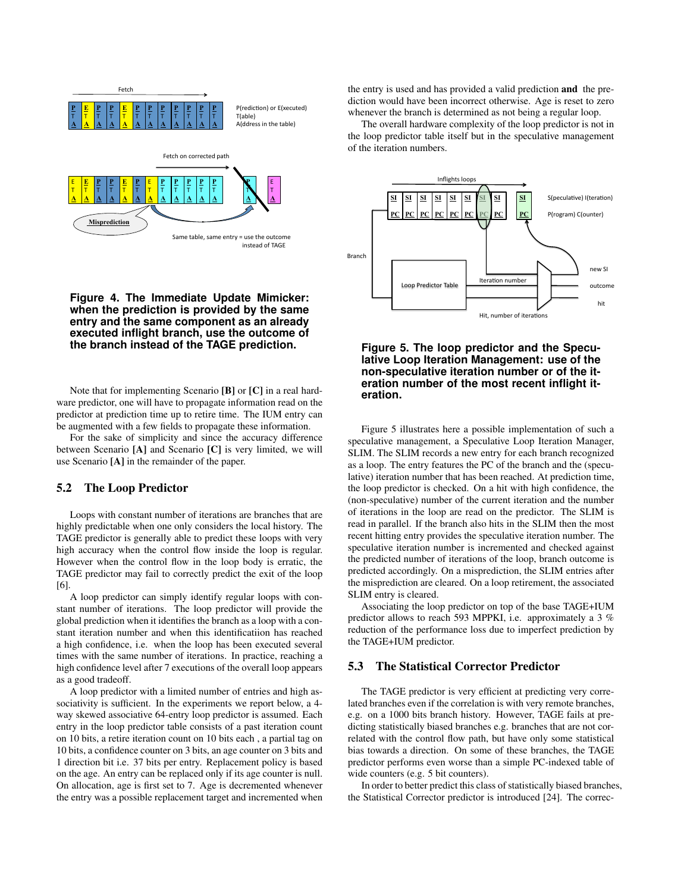

#### **Figure 4. The Immediate Update Mimicker: when the prediction is provided by the same entry and the same component as an already executed inflight branch, use the outcome of the branch instead of the TAGE prediction.**

Note that for implementing Scenario [B] or [C] in a real hardware predictor, one will have to propagate information read on the predictor at prediction time up to retire time. The IUM entry can be augmented with a few fields to propagate these information.

For the sake of simplicity and since the accuracy difference between Scenario [A] and Scenario [C] is very limited, we will use Scenario [A] in the remainder of the paper.

# 5.2 The Loop Predictor

Loops with constant number of iterations are branches that are highly predictable when one only considers the local history. The TAGE predictor is generally able to predict these loops with very high accuracy when the control flow inside the loop is regular. However when the control flow in the loop body is erratic, the TAGE predictor may fail to correctly predict the exit of the loop [6].

A loop predictor can simply identify regular loops with constant number of iterations. The loop predictor will provide the global prediction when it identifies the branch as a loop with a constant iteration number and when this identificatiion has reached a high confidence, i.e. when the loop has been executed several times with the same number of iterations. In practice, reaching a high confidence level after 7 executions of the overall loop appears as a good tradeoff.

A loop predictor with a limited number of entries and high associativity is sufficient. In the experiments we report below, a 4 way skewed associative 64-entry loop predictor is assumed. Each entry in the loop predictor table consists of a past iteration count on 10 bits, a retire iteration count on 10 bits each , a partial tag on 10 bits, a confidence counter on 3 bits, an age counter on 3 bits and 1 direction bit i.e. 37 bits per entry. Replacement policy is based on the age. An entry can be replaced only if its age counter is null. On allocation, age is first set to 7. Age is decremented whenever the entry was a possible replacement target and incremented when the entry is used and has provided a valid prediction and the prediction would have been incorrect otherwise. Age is reset to zero whenever the branch is determined as not being a regular loop.

The overall hardware complexity of the loop predictor is not in the loop predictor table itself but in the speculative management of the iteration numbers.



**Figure 5. The loop predictor and the Speculative Loop Iteration Management: use of the non-speculative iteration number or of the iteration number of the most recent inflight iteration.**

Figure 5 illustrates here a possible implementation of such a speculative management, a Speculative Loop Iteration Manager, SLIM. The SLIM records a new entry for each branch recognized as a loop. The entry features the PC of the branch and the (speculative) iteration number that has been reached. At prediction time, the loop predictor is checked. On a hit with high confidence, the (non-speculative) number of the current iteration and the number of iterations in the loop are read on the predictor. The SLIM is read in parallel. If the branch also hits in the SLIM then the most recent hitting entry provides the speculative iteration number. The speculative iteration number is incremented and checked against the predicted number of iterations of the loop, branch outcome is predicted accordingly. On a misprediction, the SLIM entries after the misprediction are cleared. On a loop retirement, the associated SLIM entry is cleared.

Associating the loop predictor on top of the base TAGE+IUM predictor allows to reach 593 MPPKI, i.e. approximately a 3 % reduction of the performance loss due to imperfect prediction by the TAGE+IUM predictor.

#### 5.3 The Statistical Corrector Predictor

The TAGE predictor is very efficient at predicting very correlated branches even if the correlation is with very remote branches, e.g. on a 1000 bits branch history. However, TAGE fails at predicting statistically biased branches e.g. branches that are not correlated with the control flow path, but have only some statistical bias towards a direction. On some of these branches, the TAGE predictor performs even worse than a simple PC-indexed table of wide counters (e.g. 5 bit counters).

In order to better predict this class of statistically biased branches, the Statistical Corrector predictor is introduced [24]. The correc-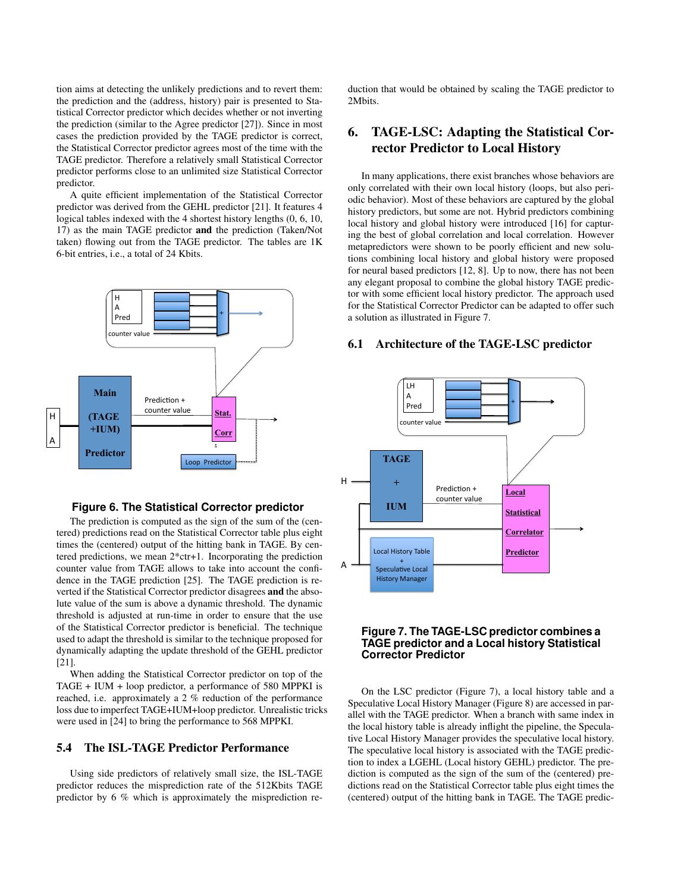tion aims at detecting the unlikely predictions and to revert them: the prediction and the (address, history) pair is presented to Statistical Corrector predictor which decides whether or not inverting the prediction (similar to the Agree predictor [27]). Since in most cases the prediction provided by the TAGE predictor is correct, the Statistical Corrector predictor agrees most of the time with the TAGE predictor. Therefore a relatively small Statistical Corrector predictor performs close to an unlimited size Statistical Corrector predictor.

A quite efficient implementation of the Statistical Corrector predictor was derived from the GEHL predictor [21]. It features 4 logical tables indexed with the 4 shortest history lengths (0, 6, 10, 17) as the main TAGE predictor and the prediction (Taken/Not taken) flowing out from the TAGE predictor. The tables are 1K 6-bit entries, i.e., a total of 24 Kbits.



#### **Figure 6. The Statistical Corrector predictor**

The prediction is computed as the sign of the sum of the (centered) predictions read on the Statistical Corrector table plus eight times the (centered) output of the hitting bank in TAGE. By centered predictions, we mean 2\*ctr+1. Incorporating the prediction counter value from TAGE allows to take into account the confidence in the TAGE prediction [25]. The TAGE prediction is reverted if the Statistical Corrector predictor disagrees and the absolute value of the sum is above a dynamic threshold. The dynamic threshold is adjusted at run-time in order to ensure that the use of the Statistical Corrector predictor is beneficial. The technique used to adapt the threshold is similar to the technique proposed for dynamically adapting the update threshold of the GEHL predictor [21].

When adding the Statistical Corrector predictor on top of the TAGE + IUM + loop predictor, a performance of 580 MPPKI is reached, i.e. approximately a 2 % reduction of the performance loss due to imperfect TAGE+IUM+loop predictor. Unrealistic tricks were used in [24] to bring the performance to 568 MPPKI.

#### 5.4 The ISL-TAGE Predictor Performance

Using side predictors of relatively small size, the ISL-TAGE predictor reduces the misprediction rate of the 512Kbits TAGE predictor by 6 % which is approximately the misprediction reduction that would be obtained by scaling the TAGE predictor to 2Mbits.

# 6. TAGE-LSC: Adapting the Statistical Corrector Predictor to Local History

In many applications, there exist branches whose behaviors are only correlated with their own local history (loops, but also periodic behavior). Most of these behaviors are captured by the global history predictors, but some are not. Hybrid predictors combining local history and global history were introduced [16] for capturing the best of global correlation and local correlation. However metapredictors were shown to be poorly efficient and new solutions combining local history and global history were proposed for neural based predictors [12, 8]. Up to now, there has not been any elegant proposal to combine the global history TAGE predictor with some efficient local history predictor. The approach used for the Statistical Corrector Predictor can be adapted to offer such a solution as illustrated in Figure 7.

#### 6.1 Architecture of the TAGE-LSC predictor



## **Figure 7. The TAGE-LSC predictor combines a TAGE predictor and a Local history Statistical Corrector Predictor**

On the LSC predictor (Figure 7), a local history table and a Speculative Local History Manager (Figure 8) are accessed in parallel with the TAGE predictor. When a branch with same index in the local history table is already inflight the pipeline, the Speculative Local History Manager provides the speculative local history. The speculative local history is associated with the TAGE prediction to index a LGEHL (Local history GEHL) predictor. The prediction is computed as the sign of the sum of the (centered) predictions read on the Statistical Corrector table plus eight times the (centered) output of the hitting bank in TAGE. The TAGE predic-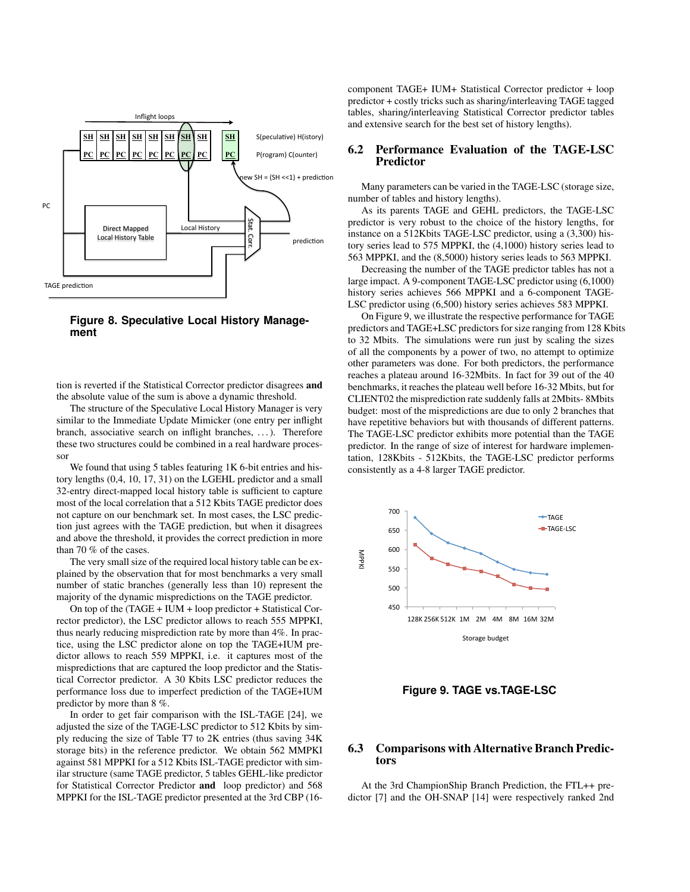

**Figure 8. Speculative Local History Management**

tion is reverted if the Statistical Corrector predictor disagrees and the absolute value of the sum is above a dynamic threshold.

The structure of the Speculative Local History Manager is very similar to the Immediate Update Mimicker (one entry per inflight branch, associative search on inflight branches, ...). Therefore these two structures could be combined in a real hardware processor

We found that using 5 tables featuring 1K 6-bit entries and history lengths (0,4, 10, 17, 31) on the LGEHL predictor and a small 32-entry direct-mapped local history table is sufficient to capture most of the local correlation that a 512 Kbits TAGE predictor does not capture on our benchmark set. In most cases, the LSC prediction just agrees with the TAGE prediction, but when it disagrees and above the threshold, it provides the correct prediction in more than 70 % of the cases.

The very small size of the required local history table can be explained by the observation that for most benchmarks a very small number of static branches (generally less than 10) represent the majority of the dynamic mispredictions on the TAGE predictor.

On top of the (TAGE + IUM + loop predictor + Statistical Corrector predictor), the LSC predictor allows to reach 555 MPPKI, thus nearly reducing misprediction rate by more than 4%. In practice, using the LSC predictor alone on top the TAGE+IUM predictor allows to reach 559 MPPKI, i.e. it captures most of the mispredictions that are captured the loop predictor and the Statistical Corrector predictor. A 30 Kbits LSC predictor reduces the performance loss due to imperfect prediction of the TAGE+IUM predictor by more than 8 %.

In order to get fair comparison with the ISL-TAGE [24], we adjusted the size of the TAGE-LSC predictor to 512 Kbits by simply reducing the size of Table T7 to 2K entries (thus saving 34K storage bits) in the reference predictor. We obtain 562 MMPKI against 581 MPPKI for a 512 Kbits ISL-TAGE predictor with similar structure (same TAGE predictor, 5 tables GEHL-like predictor for Statistical Corrector Predictor and loop predictor) and 568 MPPKI for the ISL-TAGE predictor presented at the 3rd CBP (16component TAGE+ IUM+ Statistical Corrector predictor + loop predictor + costly tricks such as sharing/interleaving TAGE tagged tables, sharing/interleaving Statistical Corrector predictor tables and extensive search for the best set of history lengths).

## 6.2 Performance Evaluation of the TAGE-LSC Predictor

Many parameters can be varied in the TAGE-LSC (storage size, number of tables and history lengths).

As its parents TAGE and GEHL predictors, the TAGE-LSC predictor is very robust to the choice of the history lengths, for instance on a 512Kbits TAGE-LSC predictor, using a (3,300) history series lead to 575 MPPKI, the (4,1000) history series lead to 563 MPPKI, and the (8,5000) history series leads to 563 MPPKI.

Decreasing the number of the TAGE predictor tables has not a large impact. A 9-component TAGE-LSC predictor using (6,1000) history series achieves 566 MPPKI and a 6-component TAGE-LSC predictor using (6,500) history series achieves 583 MPPKI.

On Figure 9, we illustrate the respective performance for TAGE predictors and TAGE+LSC predictors for size ranging from 128 Kbits to 32 Mbits. The simulations were run just by scaling the sizes of all the components by a power of two, no attempt to optimize other parameters was done. For both predictors, the performance reaches a plateau around 16-32Mbits. In fact for 39 out of the 40 benchmarks, it reaches the plateau well before 16-32 Mbits, but for CLIENT02 the misprediction rate suddenly falls at 2Mbits- 8Mbits budget: most of the mispredictions are due to only 2 branches that have repetitive behaviors but with thousands of different patterns. The TAGE-LSC predictor exhibits more potential than the TAGE predictor. In the range of size of interest for hardware implementation, 128Kbits - 512Kbits, the TAGE-LSC predictor performs consistently as a 4-8 larger TAGE predictor.



**Figure 9. TAGE vs.TAGE-LSC**

#### 6.3 Comparisons with Alternative Branch Predictors

At the 3rd ChampionShip Branch Prediction, the FTL++ predictor [7] and the OH-SNAP [14] were respectively ranked 2nd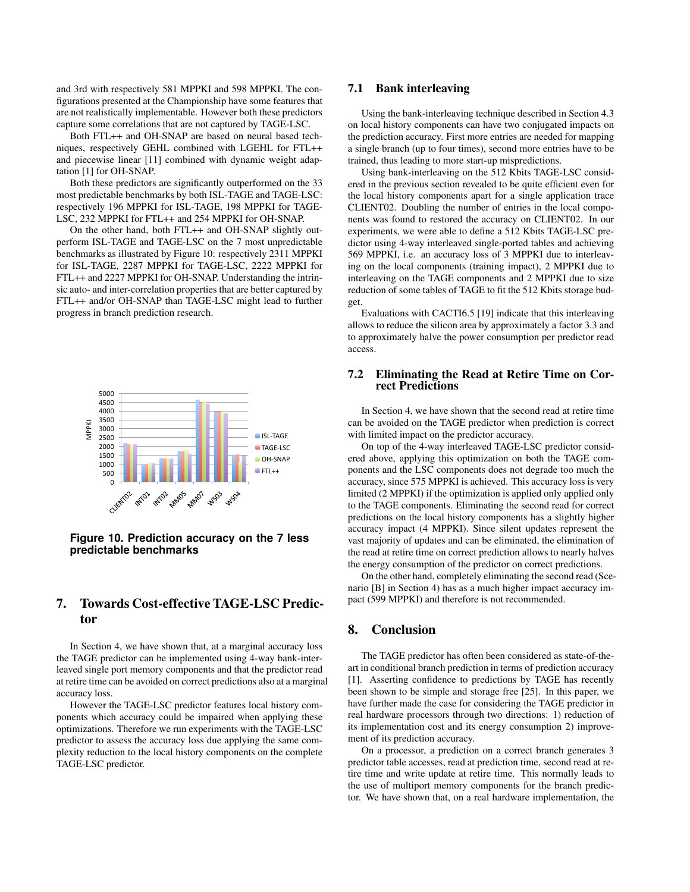and 3rd with respectively 581 MPPKI and 598 MPPKI. The configurations presented at the Championship have some features that are not realistically implementable. However both these predictors capture some correlations that are not captured by TAGE-LSC.

Both FTL++ and OH-SNAP are based on neural based techniques, respectively GEHL combined with LGEHL for FTL++ and piecewise linear [11] combined with dynamic weight adaptation [1] for OH-SNAP.

Both these predictors are significantly outperformed on the 33 most predictable benchmarks by both ISL-TAGE and TAGE-LSC: respectively 196 MPPKI for ISL-TAGE, 198 MPPKI for TAGE-LSC, 232 MPPKI for FTL++ and 254 MPPKI for OH-SNAP.

On the other hand, both FTL++ and OH-SNAP slightly outperform ISL-TAGE and TAGE-LSC on the 7 most unpredictable benchmarks as illustrated by Figure 10: respectively 2311 MPPKI for ISL-TAGE, 2287 MPPKI for TAGE-LSC, 2222 MPPKI for FTL++ and 2227 MPPKI for OH-SNAP. Understanding the intrinsic auto- and inter-correlation properties that are better captured by FTL++ and/or OH-SNAP than TAGE-LSC might lead to further progress in branch prediction research.



**Figure 10. Prediction accuracy on the 7 less predictable benchmarks**

# 7. Towards Cost-effective TAGE-LSC Predictor

In Section 4, we have shown that, at a marginal accuracy loss the TAGE predictor can be implemented using 4-way bank-interleaved single port memory components and that the predictor read at retire time can be avoided on correct predictions also at a marginal accuracy loss.

However the TAGE-LSC predictor features local history components which accuracy could be impaired when applying these optimizations. Therefore we run experiments with the TAGE-LSC predictor to assess the accuracy loss due applying the same complexity reduction to the local history components on the complete TAGE-LSC predictor.

#### 7.1 Bank interleaving

Using the bank-interleaving technique described in Section 4.3 on local history components can have two conjugated impacts on the prediction accuracy. First more entries are needed for mapping a single branch (up to four times), second more entries have to be trained, thus leading to more start-up mispredictions.

Using bank-interleaving on the 512 Kbits TAGE-LSC considered in the previous section revealed to be quite efficient even for the local history components apart for a single application trace CLIENT02. Doubling the number of entries in the local components was found to restored the accuracy on CLIENT02. In our experiments, we were able to define a 512 Kbits TAGE-LSC predictor using 4-way interleaved single-ported tables and achieving 569 MPPKI, i.e. an accuracy loss of 3 MPPKI due to interleaving on the local components (training impact), 2 MPPKI due to interleaving on the TAGE components and 2 MPPKI due to size reduction of some tables of TAGE to fit the 512 Kbits storage budget.

Evaluations with CACTI6.5 [19] indicate that this interleaving allows to reduce the silicon area by approximately a factor 3.3 and to approximately halve the power consumption per predictor read access.

#### 7.2 Eliminating the Read at Retire Time on Correct Predictions

In Section 4, we have shown that the second read at retire time can be avoided on the TAGE predictor when prediction is correct with limited impact on the predictor accuracy.

On top of the 4-way interleaved TAGE-LSC predictor considered above, applying this optimization on both the TAGE components and the LSC components does not degrade too much the accuracy, since 575 MPPKI is achieved. This accuracy loss is very limited (2 MPPKI) if the optimization is applied only applied only to the TAGE components. Eliminating the second read for correct predictions on the local history components has a slightly higher accuracy impact (4 MPPKI). Since silent updates represent the vast majority of updates and can be eliminated, the elimination of the read at retire time on correct prediction allows to nearly halves the energy consumption of the predictor on correct predictions.

On the other hand, completely eliminating the second read (Scenario [B] in Section 4) has as a much higher impact accuracy impact (599 MPPKI) and therefore is not recommended.

# 8. Conclusion

The TAGE predictor has often been considered as state-of-theart in conditional branch prediction in terms of prediction accuracy [1]. Asserting confidence to predictions by TAGE has recently been shown to be simple and storage free [25]. In this paper, we have further made the case for considering the TAGE predictor in real hardware processors through two directions: 1) reduction of its implementation cost and its energy consumption 2) improvement of its prediction accuracy.

On a processor, a prediction on a correct branch generates 3 predictor table accesses, read at prediction time, second read at retire time and write update at retire time. This normally leads to the use of multiport memory components for the branch predictor. We have shown that, on a real hardware implementation, the